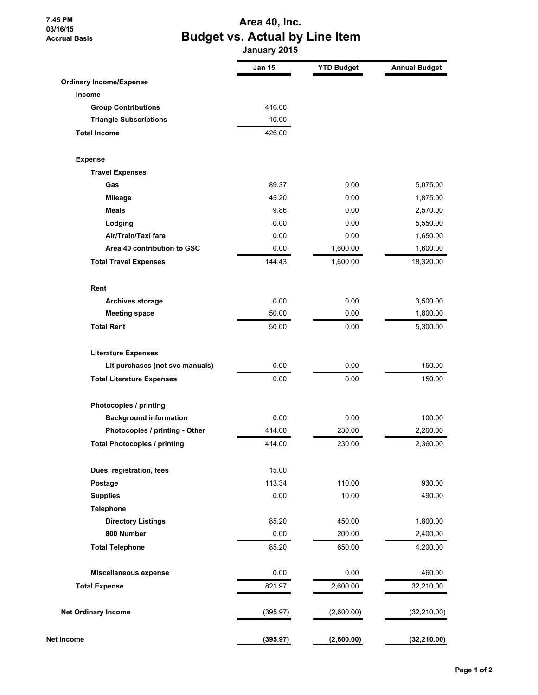**7:45 PM 03/16/15 Accrual Basis**

## **Area 40, Inc. Budget vs. Actual by Line Item**

 **January 2015**

|                                     | <b>Jan 15</b> | <b>YTD Budget</b> | <b>Annual Budget</b> |
|-------------------------------------|---------------|-------------------|----------------------|
| <b>Ordinary Income/Expense</b>      |               |                   |                      |
| <b>Income</b>                       |               |                   |                      |
| <b>Group Contributions</b>          | 416.00        |                   |                      |
| <b>Triangle Subscriptions</b>       | 10.00         |                   |                      |
| <b>Total Income</b>                 | 426.00        |                   |                      |
| <b>Expense</b>                      |               |                   |                      |
| <b>Travel Expenses</b>              |               |                   |                      |
| Gas                                 | 89.37         | 0.00              | 5,075.00             |
| <b>Mileage</b>                      | 45.20         | 0.00              | 1,875.00             |
| <b>Meals</b>                        | 9.86          | 0.00              | 2,570.00             |
| Lodging                             | 0.00          | 0.00              | 5,550.00             |
| Air/Train/Taxi fare                 | 0.00          | 0.00              | 1,650.00             |
| Area 40 contribution to GSC         | 0.00          | 1,600.00          | 1,600.00             |
| <b>Total Travel Expenses</b>        | 144.43        | 1,600.00          | 18,320.00            |
| Rent                                |               |                   |                      |
| <b>Archives storage</b>             | 0.00          | 0.00              | 3,500.00             |
| <b>Meeting space</b>                | 50.00         | 0.00              | 1,800.00             |
| <b>Total Rent</b>                   | 50.00         | 0.00              | 5,300.00             |
| <b>Literature Expenses</b>          |               |                   |                      |
| Lit purchases (not svc manuals)     | 0.00          | 0.00              | 150.00               |
| <b>Total Literature Expenses</b>    | 0.00          | 0.00              | 150.00               |
| Photocopies / printing              |               |                   |                      |
| <b>Background information</b>       | 0.00          | 0.00              | 100.00               |
| Photocopies / printing - Other      | 414.00        | 230.00            | 2,260.00             |
| <b>Total Photocopies / printing</b> | 414.00        | 230.00            | 2,360.00             |
| Dues, registration, fees            | 15.00         |                   |                      |
| Postage                             | 113.34        | 110.00            | 930.00               |
| <b>Supplies</b>                     | 0.00          | 10.00             | 490.00               |
| <b>Telephone</b>                    |               |                   |                      |
| <b>Directory Listings</b>           | 85.20         | 450.00            | 1,800.00             |
| 800 Number                          | 0.00          | 200.00            | 2,400.00             |
| <b>Total Telephone</b>              | 85.20         | 650.00            | 4,200.00             |
| Miscellaneous expense               | 0.00          | 0.00              | 460.00               |
| <b>Total Expense</b>                | 821.97        | 2,600.00          | 32,210.00            |
| <b>Net Ordinary Income</b>          | (395.97)      | (2,600.00)        | (32, 210.00)         |
| Net Income                          | (395.97)      | (2,600.00)        | (32, 210.00)         |